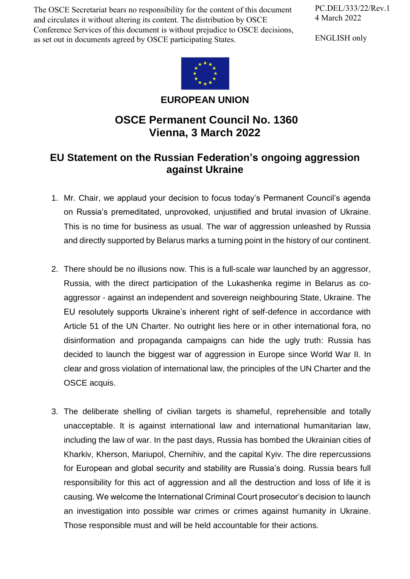The OSCE Secretariat bears no responsibility for the content of this document and circulates it without altering its content. The distribution by OSCE Conference Services of this document is without prejudice to OSCE decisions, as set out in documents agreed by OSCE participating States.

PC.DEL/333/22/Rev.1 4 March 2022

ENGLISH only



## **EUROPEAN UNION**

## **OSCE Permanent Council No. 1360 Vienna, 3 March 2022**

## **EU Statement on the Russian Federation's ongoing aggression against Ukraine**

- 1. Mr. Chair, we applaud your decision to focus today's Permanent Council's agenda on Russia's premeditated, unprovoked, unjustified and brutal invasion of Ukraine. This is no time for business as usual. The war of aggression unleashed by Russia and directly supported by Belarus marks a turning point in the history of our continent.
- 2. There should be no illusions now. This is a full-scale war launched by an aggressor, Russia, with the direct participation of the Lukashenka regime in Belarus as coaggressor - against an independent and sovereign neighbouring State, Ukraine. The EU resolutely supports Ukraine's inherent right of self-defence in accordance with Article 51 of the UN Charter. No outright lies here or in other international fora, no disinformation and propaganda campaigns can hide the ugly truth: Russia has decided to launch the biggest war of aggression in Europe since World War II. In clear and gross violation of international law, the principles of the UN Charter and the OSCE acquis.
- 3. The deliberate shelling of civilian targets is shameful, reprehensible and totally unacceptable. It is against international law and international humanitarian law, including the law of war. In the past days, Russia has bombed the Ukrainian cities of Kharkiv, Kherson, Mariupol, Chernihiv, and the capital Kyiv. The dire repercussions for European and global security and stability are Russia's doing. Russia bears full responsibility for this act of aggression and all the destruction and loss of life it is causing. We welcome the International Criminal Court prosecutor's decision to launch an investigation into possible war crimes or crimes against humanity in Ukraine. Those responsible must and will be held accountable for their actions.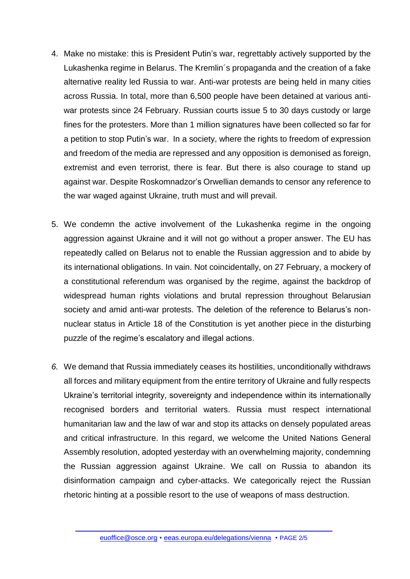- 4. Make no mistake: this is President Putin's war, regrettably actively supported by the Lukashenka regime in Belarus. The Kremlin´s propaganda and the creation of a fake alternative reality led Russia to war. Anti-war protests are being held in many cities across Russia. In total, more than 6,500 people have been detained at various antiwar protests since 24 February. Russian courts issue 5 to 30 days custody or large fines for the protesters. More than 1 million signatures have been collected so far for a petition to stop Putin's war. In a society, where the rights to freedom of expression and freedom of the media are repressed and any opposition is demonised as foreign, extremist and even terrorist, there is fear. But there is also courage to stand up against war. Despite Roskomnadzor's Orwellian demands to censor any reference to the war waged against Ukraine, truth must and will prevail.
- 5. We condemn the active involvement of the Lukashenka regime in the ongoing aggression against Ukraine and it will not go without a proper answer. The EU has repeatedly called on Belarus not to enable the Russian aggression and to abide by its international obligations. In vain. Not coincidentally, on 27 February, a mockery of a constitutional referendum was organised by the regime, against the backdrop of widespread human rights violations and brutal repression throughout Belarusian society and amid anti-war protests. The deletion of the reference to Belarus's nonnuclear status in Article 18 of the Constitution is yet another piece in the disturbing puzzle of the regime's escalatory and illegal actions.
- *6.* We demand that Russia immediately ceases its hostilities, unconditionally withdraws all forces and military equipment from the entire territory of Ukraine and fully respects Ukraine's territorial integrity, sovereignty and independence within its internationally recognised borders and territorial waters. Russia must respect international humanitarian law and the law of war and stop its attacks on densely populated areas and critical infrastructure. In this regard, we welcome the United Nations General Assembly resolution, adopted yesterday with an overwhelming majority, condemning the Russian aggression against Ukraine. We call on Russia to abandon its disinformation campaign and cyber-attacks. We categorically reject the Russian rhetoric hinting at a possible resort to the use of weapons of mass destruction.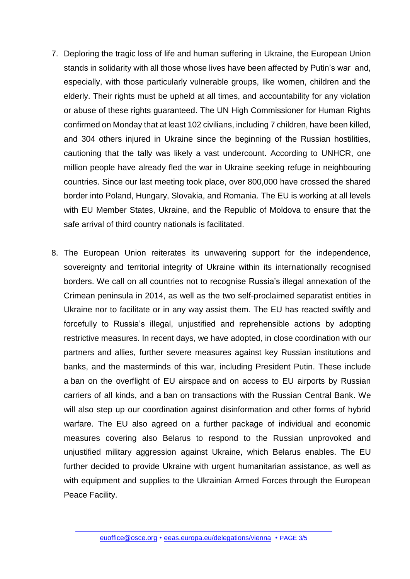- 7. Deploring the tragic loss of life and human suffering in Ukraine, the European Union stands in solidarity with all those whose lives have been affected by Putin's war and, especially, with those particularly vulnerable groups, like women, children and the elderly. Their rights must be upheld at all times, and accountability for any violation or abuse of these rights guaranteed. The UN High Commissioner for Human Rights confirmed on Monday that at least 102 civilians, including 7 children, have been killed, and 304 others injured in Ukraine since the beginning of the Russian hostilities, cautioning that the tally was likely a vast undercount. According to UNHCR, one million people have already fled the war in Ukraine seeking refuge in neighbouring countries. Since our last meeting took place, over 800,000 have crossed the shared border into Poland, Hungary, Slovakia, and Romania. The EU is working at all levels with EU Member States, Ukraine, and the Republic of Moldova to ensure that the safe arrival of third country nationals is facilitated.
- 8. The European Union reiterates its unwavering support for the independence, sovereignty and territorial integrity of Ukraine within its internationally recognised borders. We call on all countries not to recognise Russia's illegal annexation of the Crimean peninsula in 2014, as well as the two self-proclaimed separatist entities in Ukraine nor to facilitate or in any way assist them. The EU has reacted swiftly and forcefully to Russia's illegal, unjustified and reprehensible actions by adopting restrictive measures. In recent days, we have adopted, in close coordination with our partners and allies, further severe measures against key Russian institutions and banks, and the masterminds of this war, including President Putin. These include a ban on the overflight of EU airspace and on access to EU airports by Russian carriers of all kinds, and a ban on transactions with the Russian Central Bank. We will also step up our coordination against disinformation and other forms of hybrid warfare. The EU also agreed on a further package of individual and economic measures covering also Belarus to respond to the Russian unprovoked and unjustified military aggression against Ukraine, which Belarus enables. The EU further decided to provide Ukraine with urgent humanitarian assistance, as well as with equipment and supplies to the Ukrainian Armed Forces through the European Peace Facility.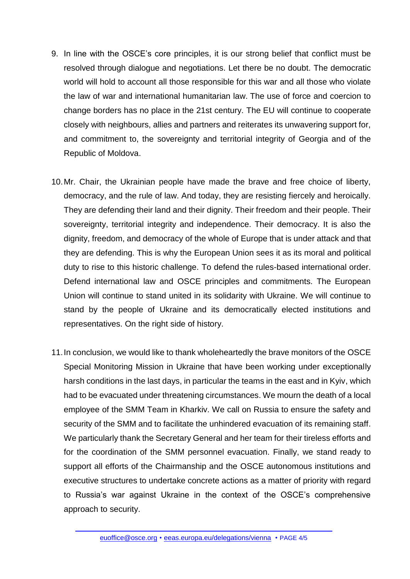- 9. In line with the OSCE's core principles, it is our strong belief that conflict must be resolved through dialogue and negotiations. Let there be no doubt. The democratic world will hold to account all those responsible for this war and all those who violate the law of war and international humanitarian law. The use of force and coercion to change borders has no place in the 21st century. The EU will continue to cooperate closely with neighbours, allies and partners and reiterates its unwavering support for, and commitment to, the sovereignty and territorial integrity of Georgia and of the Republic of Moldova.
- 10.Mr. Chair, the Ukrainian people have made the brave and free choice of liberty, democracy, and the rule of law. And today, they are resisting fiercely and heroically. They are defending their land and their dignity. Their freedom and their people. Their sovereignty, territorial integrity and independence. Their democracy. It is also the dignity, freedom, and democracy of the whole of Europe that is under attack and that they are defending. This is why the European Union sees it as its moral and political duty to rise to this historic challenge. To defend the rules-based international order. Defend international law and OSCE principles and commitments. The European Union will continue to stand united in its solidarity with Ukraine. We will continue to stand by the people of Ukraine and its democratically elected institutions and representatives. On the right side of history.
- 11.In conclusion, we would like to thank wholeheartedly the brave monitors of the OSCE Special Monitoring Mission in Ukraine that have been working under exceptionally harsh conditions in the last days, in particular the teams in the east and in Kyiv, which had to be evacuated under threatening circumstances. We mourn the death of a local employee of the SMM Team in Kharkiv. We call on Russia to ensure the safety and security of the SMM and to facilitate the unhindered evacuation of its remaining staff. We particularly thank the Secretary General and her team for their tireless efforts and for the coordination of the SMM personnel evacuation. Finally, we stand ready to support all efforts of the Chairmanship and the OSCE autonomous institutions and executive structures to undertake concrete actions as a matter of priority with regard to Russia's war against Ukraine in the context of the OSCE's comprehensive approach to security.